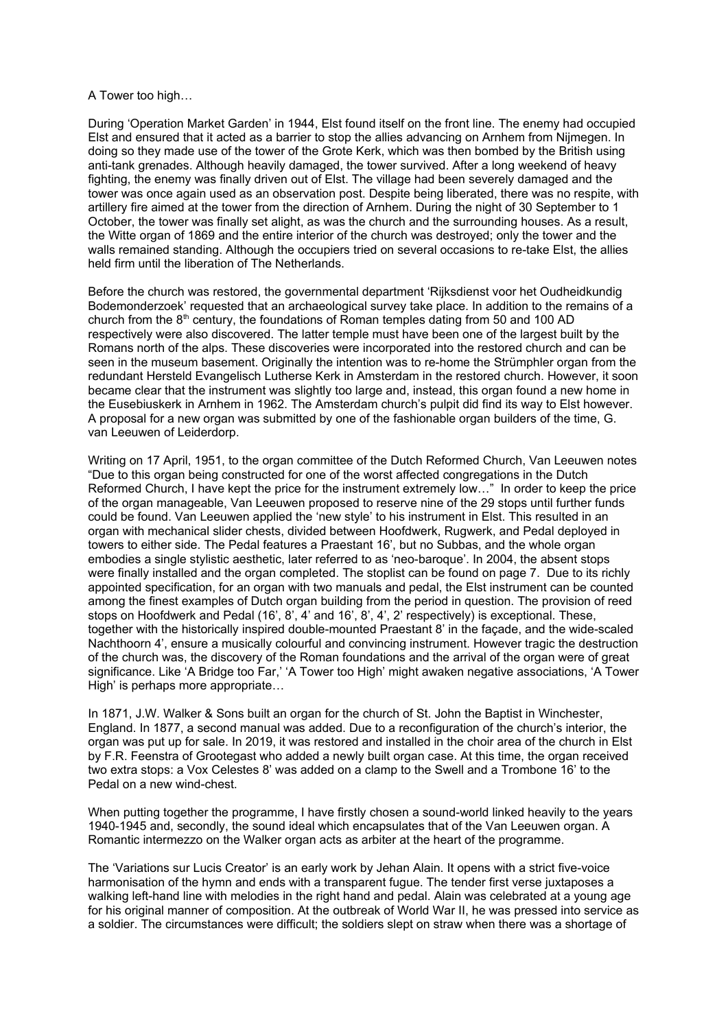## A Tower too high…

During 'Operation Market Garden' in 1944, Elst found itself on the front line. The enemy had occupied Elst and ensured that it acted as a barrier to stop the allies advancing on Arnhem from Nijmegen. In doing so they made use of the tower of the Grote Kerk, which was then bombed by the British using anti-tank grenades. Although heavily damaged, the tower survived. After a long weekend of heavy fighting, the enemy was finally driven out of Elst. The village had been severely damaged and the tower was once again used as an observation post. Despite being liberated, there was no respite, with artillery fire aimed at the tower from the direction of Arnhem. During the night of 30 September to 1 October, the tower was finally set alight, as was the church and the surrounding houses. As a result, the Witte organ of 1869 and the entire interior of the church was destroyed; only the tower and the walls remained standing. Although the occupiers tried on several occasions to re-take Elst, the allies held firm until the liberation of The Netherlands.

Before the church was restored, the governmental department 'Rijksdienst voor het Oudheidkundig Bodemonderzoek' requested that an archaeological survey take place. In addition to the remains of a church from the  $8<sup>th</sup>$  century, the foundations of Roman temples dating from 50 and 100 AD respectively were also discovered. The latter temple must have been one of the largest built by the Romans north of the alps. These discoveries were incorporated into the restored church and can be seen in the museum basement. Originally the intention was to re-home the Strümphler organ from the redundant Hersteld Evangelisch Lutherse Kerk in Amsterdam in the restored church. However, it soon became clear that the instrument was slightly too large and, instead, this organ found a new home in the Eusebiuskerk in Arnhem in 1962. The Amsterdam church's pulpit did find its way to Elst however. A proposal for a new organ was submitted by one of the fashionable organ builders of the time, G. van Leeuwen of Leiderdorp.

Writing on 17 April, 1951, to the organ committee of the Dutch Reformed Church, Van Leeuwen notes "Due to this organ being constructed for one of the worst affected congregations in the Dutch Reformed Church, I have kept the price for the instrument extremely low…" In order to keep the price of the organ manageable, Van Leeuwen proposed to reserve nine of the 29 stops until further funds could be found. Van Leeuwen applied the 'new style' to his instrument in Elst. This resulted in an organ with mechanical slider chests, divided between Hoofdwerk, Rugwerk, and Pedal deployed in towers to either side. The Pedal features a Praestant 16', but no Subbas, and the whole organ embodies a single stylistic aesthetic, later referred to as 'neo-baroque'. In 2004, the absent stops were finally installed and the organ completed. The stoplist can be found on page 7. Due to its richly appointed specification, for an organ with two manuals and pedal, the Elst instrument can be counted among the finest examples of Dutch organ building from the period in question. The provision of reed stops on Hoofdwerk and Pedal (16', 8', 4' and 16', 8', 4', 2' respectively) is exceptional. These, together with the historically inspired double-mounted Praestant 8' in the façade, and the wide-scaled Nachthoorn 4', ensure a musically colourful and convincing instrument. However tragic the destruction of the church was, the discovery of the Roman foundations and the arrival of the organ were of great significance. Like 'A Bridge too Far,' 'A Tower too High' might awaken negative associations, 'A Tower High' is perhaps more appropriate…

In 1871, J.W. Walker & Sons built an organ for the church of St. John the Baptist in Winchester, England. In 1877, a second manual was added. Due to a reconfiguration of the church's interior, the organ was put up for sale. In 2019, it was restored and installed in the choir area of the church in Elst by F.R. Feenstra of Grootegast who added a newly built organ case. At this time, the organ received two extra stops: a Vox Celestes 8' was added on a clamp to the Swell and a Trombone 16' to the Pedal on a new wind-chest.

When putting together the programme, I have firstly chosen a sound-world linked heavily to the years 1940-1945 and, secondly, the sound ideal which encapsulates that of the Van Leeuwen organ. A Romantic intermezzo on the Walker organ acts as arbiter at the heart of the programme.

The 'Variations sur Lucis Creator' is an early work by Jehan Alain. It opens with a strict five-voice harmonisation of the hymn and ends with a transparent fugue. The tender first verse juxtaposes a walking left-hand line with melodies in the right hand and pedal. Alain was celebrated at a young age for his original manner of composition. At the outbreak of World War II, he was pressed into service as a soldier. The circumstances were difficult; the soldiers slept on straw when there was a shortage of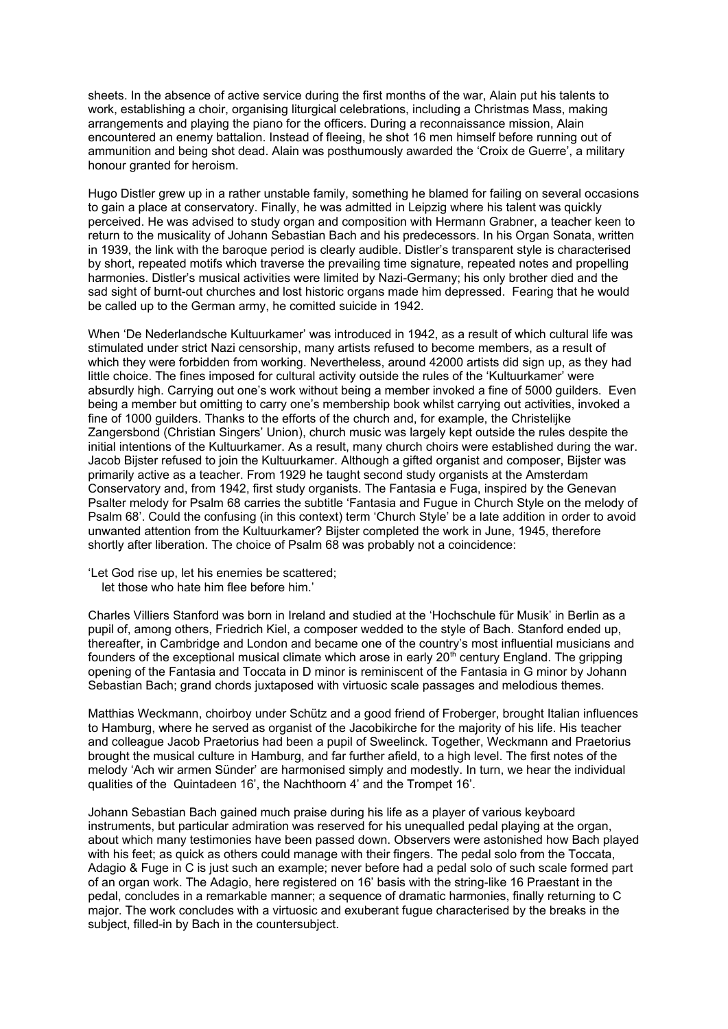sheets. In the absence of active service during the first months of the war, Alain put his talents to work, establishing a choir, organising liturgical celebrations, including a Christmas Mass, making arrangements and playing the piano for the officers. During a reconnaissance mission, Alain encountered an enemy battalion. Instead of fleeing, he shot 16 men himself before running out of ammunition and being shot dead. Alain was posthumously awarded the 'Croix de Guerre', a military honour granted for heroism.

Hugo Distler grew up in a rather unstable family, something he blamed for failing on several occasions to gain a place at conservatory. Finally, he was admitted in Leipzig where his talent was quickly perceived. He was advised to study organ and composition with Hermann Grabner, a teacher keen to return to the musicality of Johann Sebastian Bach and his predecessors. In his Organ Sonata, written in 1939, the link with the baroque period is clearly audible. Distler's transparent style is characterised by short, repeated motifs which traverse the prevailing time signature, repeated notes and propelling harmonies. Distler's musical activities were limited by Nazi-Germany; his only brother died and the sad sight of burnt-out churches and lost historic organs made him depressed. Fearing that he would be called up to the German army, he comitted suicide in 1942.

When 'De Nederlandsche Kultuurkamer' was introduced in 1942, as a result of which cultural life was stimulated under strict Nazi censorship, many artists refused to become members, as a result of which they were forbidden from working. Nevertheless, around 42000 artists did sign up, as they had little choice. The fines imposed for cultural activity outside the rules of the 'Kultuurkamer' were absurdly high. Carrying out one's work without being a member invoked a fine of 5000 guilders. Even being a member but omitting to carry one's membership book whilst carrying out activities, invoked a fine of 1000 guilders. Thanks to the efforts of the church and, for example, the Christelijke Zangersbond (Christian Singers' Union), church music was largely kept outside the rules despite the initial intentions of the Kultuurkamer. As a result, many church choirs were established during the war. Jacob Bijster refused to join the Kultuurkamer. Although a gifted organist and composer, Bijster was primarily active as a teacher. From 1929 he taught second study organists at the Amsterdam Conservatory and, from 1942, first study organists. The Fantasia e Fuga, inspired by the Genevan Psalter melody for Psalm 68 carries the subtitle 'Fantasia and Fugue in Church Style on the melody of Psalm 68'. Could the confusing (in this context) term 'Church Style' be a late addition in order to avoid unwanted attention from the Kultuurkamer? Bijster completed the work in June, 1945, therefore shortly after liberation. The choice of Psalm 68 was probably not a coincidence:

'Let God rise up, let his enemies be scattered; let those who hate him flee before him.'

Charles Villiers Stanford was born in Ireland and studied at the 'Hochschule für Musik' in Berlin as a pupil of, among others, Friedrich Kiel, a composer wedded to the style of Bach. Stanford ended up, thereafter, in Cambridge and London and became one of the country's most influential musicians and founders of the exceptional musical climate which arose in early 20<sup>th</sup> century England. The gripping opening of the Fantasia and Toccata in D minor is reminiscent of the Fantasia in G minor by Johann Sebastian Bach; grand chords juxtaposed with virtuosic scale passages and melodious themes.

Matthias Weckmann, choirboy under Schütz and a good friend of Froberger, brought Italian influences to Hamburg, where he served as organist of the Jacobikirche for the majority of his life. His teacher and colleague Jacob Praetorius had been a pupil of Sweelinck. Together, Weckmann and Praetorius brought the musical culture in Hamburg, and far further afield, to a high level. The first notes of the melody 'Ach wir armen Sünder' are harmonised simply and modestly. In turn, we hear the individual qualities of the Quintadeen 16', the Nachthoorn 4' and the Trompet 16'.

Johann Sebastian Bach gained much praise during his life as a player of various keyboard instruments, but particular admiration was reserved for his unequalled pedal playing at the organ, about which many testimonies have been passed down. Observers were astonished how Bach played with his feet; as quick as others could manage with their fingers. The pedal solo from the Toccata, Adagio & Fuge in C is just such an example; never before had a pedal solo of such scale formed part of an organ work. The Adagio, here registered on 16' basis with the string-like 16 Praestant in the pedal, concludes in a remarkable manner; a sequence of dramatic harmonies, finally returning to C major. The work concludes with a virtuosic and exuberant fugue characterised by the breaks in the subject, filled-in by Bach in the countersubject.